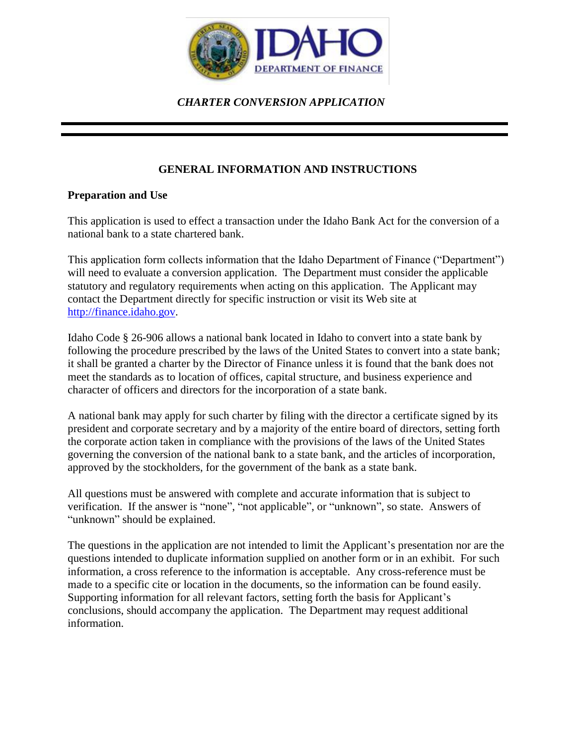

## *CHARTER CONVERSION APPLICATION*

# **GENERAL INFORMATION AND INSTRUCTIONS**

#### **Preparation and Use**

This application is used to effect a transaction under the Idaho Bank Act for the conversion of a national bank to a state chartered bank.

This application form collects information that the Idaho Department of Finance ("Department") will need to evaluate a conversion application. The Department must consider the applicable statutory and regulatory requirements when acting on this application. The Applicant may contact the Department directly for specific instruction or visit its Web site at http://finance.idaho.gov.

Idaho Code § 26-906 allows a national bank located in Idaho to convert into a state bank by following the procedure prescribed by the laws of the United States to convert into a state bank; it shall be granted a charter by the Director of Finance unless it is found that the bank does not meet the standards as to location of offices, capital structure, and business experience and character of officers and directors for the incorporation of a state bank.

A national bank may apply for such charter by filing with the director a certificate signed by its president and corporate secretary and by a majority of the entire board of directors, setting forth the corporate action taken in compliance with the provisions of the laws of the United States governing the conversion of the national bank to a state bank, and the articles of incorporation, approved by the stockholders, for the government of the bank as a state bank.

All questions must be answered with complete and accurate information that is subject to verification. If the answer is "none", "not applicable", or "unknown", so state. Answers of "unknown" should be explained.

The questions in the application are not intended to limit the Applicant's presentation nor are the questions intended to duplicate information supplied on another form or in an exhibit. For such information, a cross reference to the information is acceptable. Any cross-reference must be made to a specific cite or location in the documents, so the information can be found easily. Supporting information for all relevant factors, setting forth the basis for Applicant's conclusions, should accompany the application. The Department may request additional information.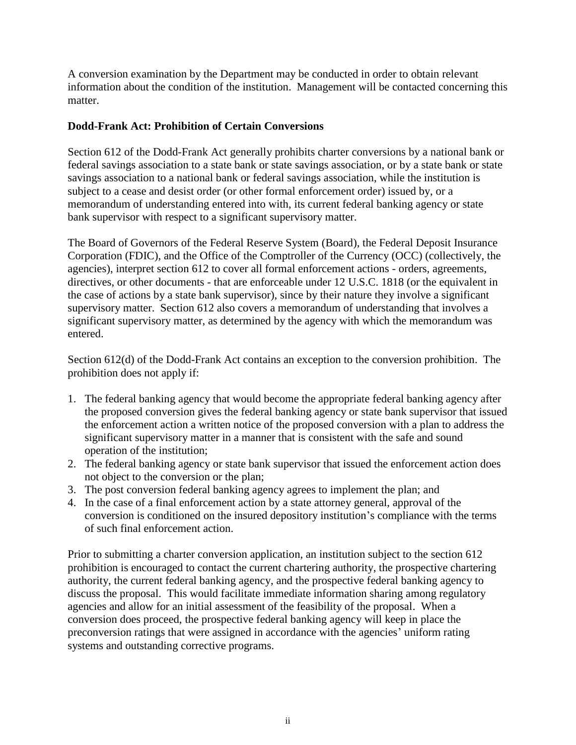A conversion examination by the Department may be conducted in order to obtain relevant information about the condition of the institution. Management will be contacted concerning this matter.

## **Dodd-Frank Act: Prohibition of Certain Conversions**

Section 612 of the Dodd-Frank Act generally prohibits charter conversions by a national bank or federal savings association to a state bank or state savings association, or by a state bank or state savings association to a national bank or federal savings association, while the institution is subject to a cease and desist order (or other formal enforcement order) issued by, or a memorandum of understanding entered into with, its current federal banking agency or state bank supervisor with respect to a significant supervisory matter.

The Board of Governors of the Federal Reserve System (Board), the Federal Deposit Insurance Corporation (FDIC), and the Office of the Comptroller of the Currency (OCC) (collectively, the agencies), interpret section 612 to cover all formal enforcement actions - orders, agreements, directives, or other documents - that are enforceable under 12 U.S.C. 1818 (or the equivalent in the case of actions by a state bank supervisor), since by their nature they involve a significant supervisory matter. Section 612 also covers a memorandum of understanding that involves a significant supervisory matter, as determined by the agency with which the memorandum was entered.

Section 612(d) of the Dodd-Frank Act contains an exception to the conversion prohibition. The prohibition does not apply if:

- 1. The federal banking agency that would become the appropriate federal banking agency after the proposed conversion gives the federal banking agency or state bank supervisor that issued the enforcement action a written notice of the proposed conversion with a plan to address the significant supervisory matter in a manner that is consistent with the safe and sound operation of the institution;
- 2. The federal banking agency or state bank supervisor that issued the enforcement action does not object to the conversion or the plan;
- 3. The post conversion federal banking agency agrees to implement the plan; and
- 4. In the case of a final enforcement action by a state attorney general, approval of the conversion is conditioned on the insured depository institution's compliance with the terms of such final enforcement action.

Prior to submitting a charter conversion application, an institution subject to the section 612 prohibition is encouraged to contact the current chartering authority, the prospective chartering authority, the current federal banking agency, and the prospective federal banking agency to discuss the proposal. This would facilitate immediate information sharing among regulatory agencies and allow for an initial assessment of the feasibility of the proposal. When a conversion does proceed, the prospective federal banking agency will keep in place the preconversion ratings that were assigned in accordance with the agencies' uniform rating systems and outstanding corrective programs.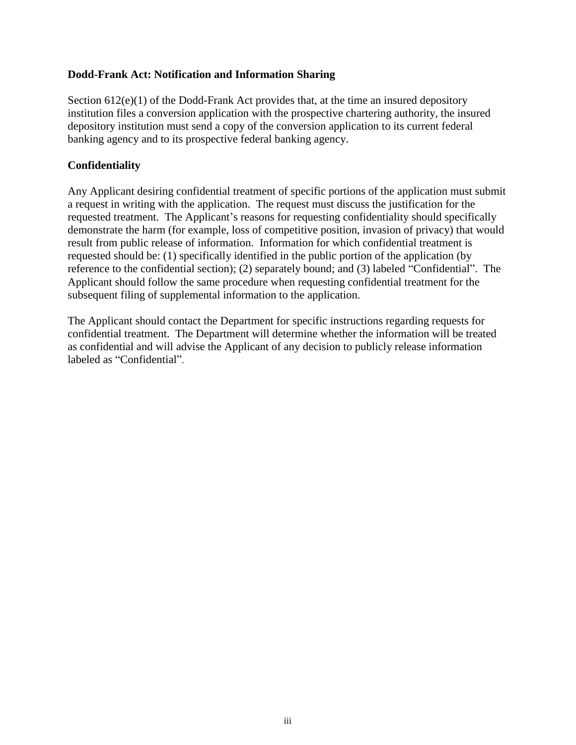#### **Dodd-Frank Act: Notification and Information Sharing**

Section 612(e)(1) of the Dodd-Frank Act provides that, at the time an insured depository institution files a conversion application with the prospective chartering authority, the insured depository institution must send a copy of the conversion application to its current federal banking agency and to its prospective federal banking agency.

### **Confidentiality**

Any Applicant desiring confidential treatment of specific portions of the application must submit a request in writing with the application. The request must discuss the justification for the requested treatment. The Applicant's reasons for requesting confidentiality should specifically demonstrate the harm (for example, loss of competitive position, invasion of privacy) that would result from public release of information. Information for which confidential treatment is requested should be: (1) specifically identified in the public portion of the application (by reference to the confidential section); (2) separately bound; and (3) labeled "Confidential". The Applicant should follow the same procedure when requesting confidential treatment for the subsequent filing of supplemental information to the application.

The Applicant should contact the Department for specific instructions regarding requests for confidential treatment. The Department will determine whether the information will be treated as confidential and will advise the Applicant of any decision to publicly release information labeled as "Confidential".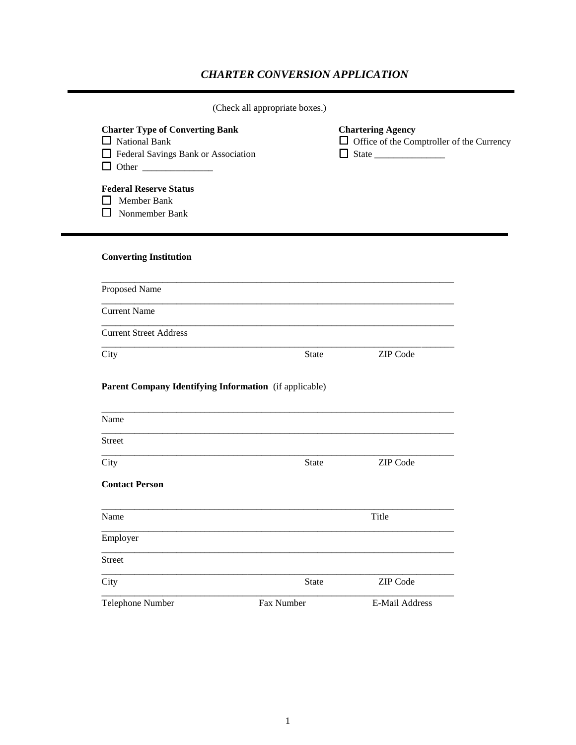# *CHARTER CONVERSION APPLICATION*

|                                                                                                       | (Check all appropriate boxes.) |                                                                              |  |
|-------------------------------------------------------------------------------------------------------|--------------------------------|------------------------------------------------------------------------------|--|
| <b>Charter Type of Converting Bank</b><br>$\Box$ National Bank<br>Federal Savings Bank or Association |                                | <b>Chartering Agency</b><br>$\Box$ Office of the Comptroller of the Currency |  |
| <b>Federal Reserve Status</b><br>Member Bank<br>Nonmember Bank                                        |                                |                                                                              |  |
| <b>Converting Institution</b>                                                                         |                                |                                                                              |  |
| Proposed Name                                                                                         |                                |                                                                              |  |
| <b>Current Name</b>                                                                                   |                                |                                                                              |  |
| <b>Current Street Address</b>                                                                         |                                |                                                                              |  |
| City                                                                                                  | State                          | <b>ZIP</b> Code                                                              |  |
| Parent Company Identifying Information (if applicable)                                                |                                |                                                                              |  |
| Name                                                                                                  |                                |                                                                              |  |
| <b>Street</b>                                                                                         |                                |                                                                              |  |
| City                                                                                                  | <b>State</b>                   | <b>ZIP</b> Code                                                              |  |
| <b>Contact Person</b>                                                                                 |                                |                                                                              |  |
| Name                                                                                                  |                                | Title                                                                        |  |
| Employer                                                                                              |                                |                                                                              |  |
| <b>Street</b>                                                                                         |                                |                                                                              |  |
| City                                                                                                  | State                          | ZIP Code                                                                     |  |
| Telephone Number                                                                                      | Fax Number                     | E-Mail Address                                                               |  |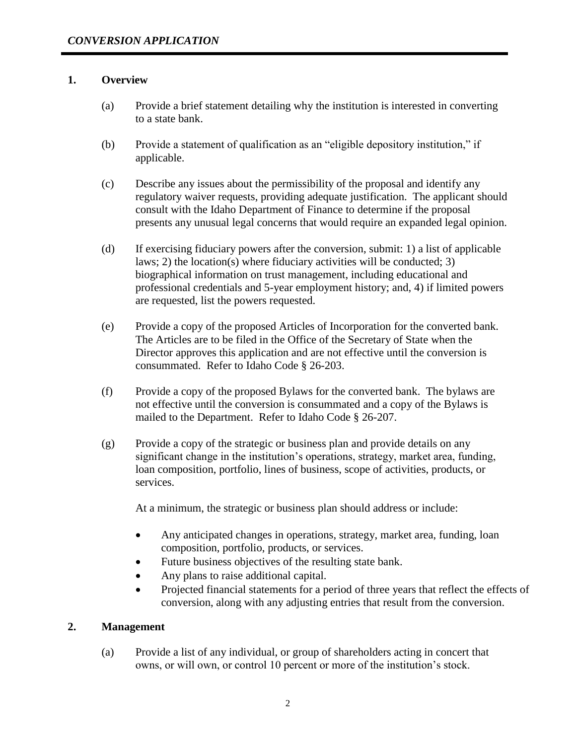#### **1. Overview**

- (a) Provide a brief statement detailing why the institution is interested in converting to a state bank.
- (b) Provide a statement of qualification as an "eligible depository institution," if applicable.
- (c) Describe any issues about the permissibility of the proposal and identify any regulatory waiver requests, providing adequate justification. The applicant should consult with the Idaho Department of Finance to determine if the proposal presents any unusual legal concerns that would require an expanded legal opinion.
- (d) If exercising fiduciary powers after the conversion, submit: 1) a list of applicable laws; 2) the location(s) where fiduciary activities will be conducted; 3) biographical information on trust management, including educational and professional credentials and 5-year employment history; and, 4) if limited powers are requested, list the powers requested.
- (e) Provide a copy of the proposed Articles of Incorporation for the converted bank. The Articles are to be filed in the Office of the Secretary of State when the Director approves this application and are not effective until the conversion is consummated. Refer to Idaho Code § 26-203.
- (f) Provide a copy of the proposed Bylaws for the converted bank. The bylaws are not effective until the conversion is consummated and a copy of the Bylaws is mailed to the Department. Refer to Idaho Code § 26-207.
- (g) Provide a copy of the strategic or business plan and provide details on any significant change in the institution's operations, strategy, market area, funding, loan composition, portfolio, lines of business, scope of activities, products, or services.

At a minimum, the strategic or business plan should address or include:

- Any anticipated changes in operations, strategy, market area, funding, loan composition, portfolio, products, or services.
- Future business objectives of the resulting state bank.
- Any plans to raise additional capital.
- Projected financial statements for a period of three years that reflect the effects of conversion, along with any adjusting entries that result from the conversion.

## **2. Management**

(a) Provide a list of any individual, or group of shareholders acting in concert that owns, or will own, or control 10 percent or more of the institution's stock.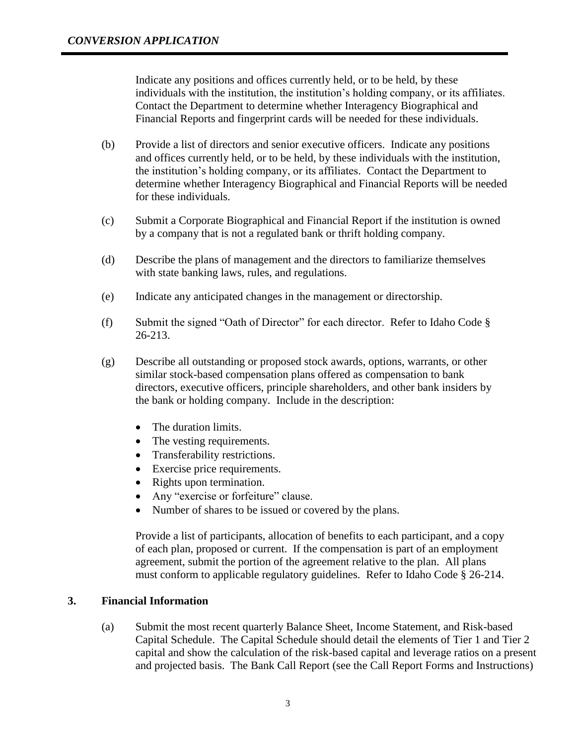Indicate any positions and offices currently held, or to be held, by these individuals with the institution, the institution's holding company, or its affiliates. Contact the Department to determine whether Interagency Biographical and Financial Reports and fingerprint cards will be needed for these individuals.

- (b) Provide a list of directors and senior executive officers. Indicate any positions and offices currently held, or to be held, by these individuals with the institution, the institution's holding company, or its affiliates. Contact the Department to determine whether Interagency Biographical and Financial Reports will be needed for these individuals.
- (c) Submit a Corporate Biographical and Financial Report if the institution is owned by a company that is not a regulated bank or thrift holding company.
- (d) Describe the plans of management and the directors to familiarize themselves with state banking laws, rules, and regulations.
- (e) Indicate any anticipated changes in the management or directorship.
- (f) Submit the signed "Oath of Director" for each director. Refer to Idaho Code § 26-213.
- (g) Describe all outstanding or proposed stock awards, options, warrants, or other similar stock-based compensation plans offered as compensation to bank directors, executive officers, principle shareholders, and other bank insiders by the bank or holding company. Include in the description:
	- The duration limits.
	- The vesting requirements.
	- Transferability restrictions.
	- Exercise price requirements.
	- Rights upon termination.
	- Any "exercise or forfeiture" clause.
	- Number of shares to be issued or covered by the plans.

Provide a list of participants, allocation of benefits to each participant, and a copy of each plan, proposed or current. If the compensation is part of an employment agreement, submit the portion of the agreement relative to the plan. All plans must conform to applicable regulatory guidelines. Refer to Idaho Code § 26-214.

#### **3. Financial Information**

(a) Submit the most recent quarterly Balance Sheet, Income Statement, and Risk-based Capital Schedule. The Capital Schedule should detail the elements of Tier 1 and Tier 2 capital and show the calculation of the risk-based capital and leverage ratios on a present and projected basis. The Bank Call Report (see the Call Report Forms and Instructions)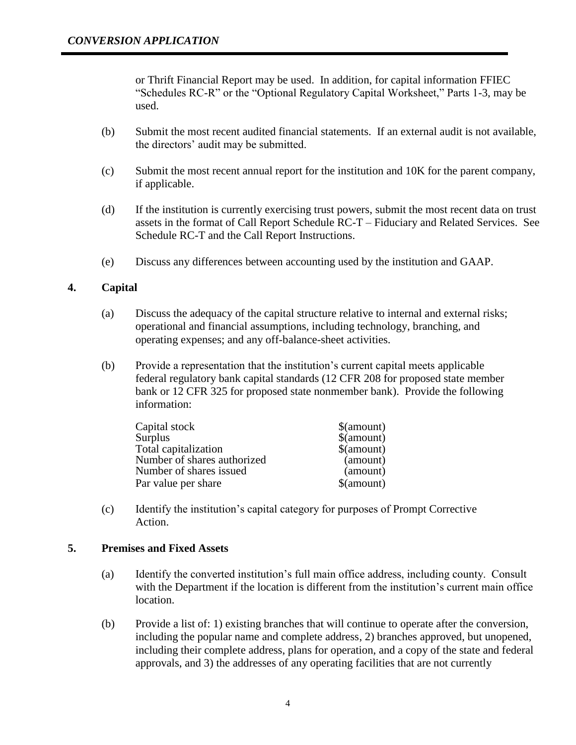or Thrift Financial Report may be used. In addition, for capital information FFIEC "Schedules RC-R" or the "Optional Regulatory Capital Worksheet," Parts 1-3, may be used.

- (b) Submit the most recent audited financial statements. If an external audit is not available, the directors' audit may be submitted.
- (c) Submit the most recent annual report for the institution and 10K for the parent company, if applicable.
- (d) If the institution is currently exercising trust powers, submit the most recent data on trust assets in the format of Call Report Schedule RC-T – Fiduciary and Related Services. See Schedule RC-T and the Call Report Instructions.
- (e) Discuss any differences between accounting used by the institution and GAAP.

# **4. Capital**

- (a) Discuss the adequacy of the capital structure relative to internal and external risks; operational and financial assumptions, including technology, branching, and operating expenses; and any off-balance-sheet activities.
- (b) Provide a representation that the institution's current capital meets applicable federal regulatory bank capital standards (12 CFR 208 for proposed state member bank or 12 CFR 325 for proposed state nonmember bank). Provide the following information:

| Capital stock               | \$(amount)                   |
|-----------------------------|------------------------------|
| Surplus                     | $%$ (amount)                 |
| Total capitalization        | $\mathcal{S}(\text{amount})$ |
| Number of shares authorized | (amount)                     |
| Number of shares issued     | (amount)                     |
| Par value per share         | \$(amount)                   |

(c) Identify the institution's capital category for purposes of Prompt Corrective Action.

#### **5. Premises and Fixed Assets**

- (a) Identify the converted institution's full main office address, including county. Consult with the Department if the location is different from the institution's current main office location.
- (b) Provide a list of: 1) existing branches that will continue to operate after the conversion, including the popular name and complete address, 2) branches approved, but unopened, including their complete address, plans for operation, and a copy of the state and federal approvals, and 3) the addresses of any operating facilities that are not currently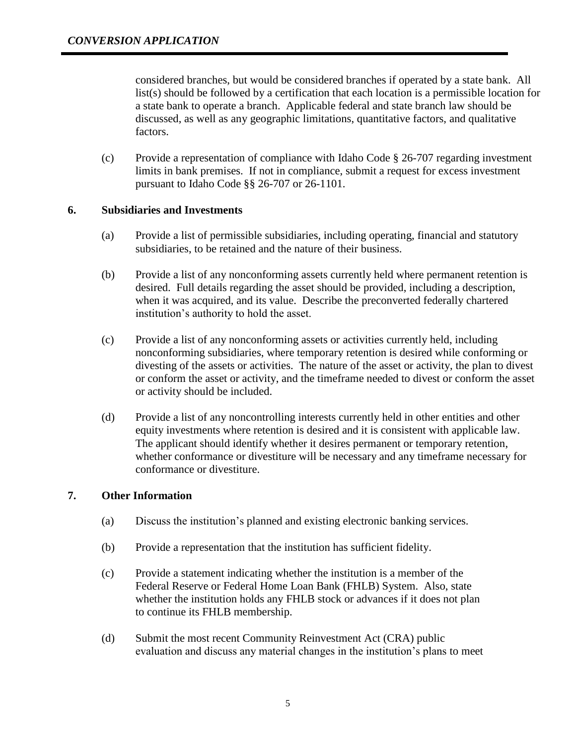considered branches, but would be considered branches if operated by a state bank. All list(s) should be followed by a certification that each location is a permissible location for a state bank to operate a branch. Applicable federal and state branch law should be discussed, as well as any geographic limitations, quantitative factors, and qualitative factors.

(c) Provide a representation of compliance with Idaho Code § 26-707 regarding investment limits in bank premises. If not in compliance, submit a request for excess investment pursuant to Idaho Code §§ 26-707 or 26-1101.

## **6. Subsidiaries and Investments**

- (a) Provide a list of permissible subsidiaries, including operating, financial and statutory subsidiaries, to be retained and the nature of their business.
- (b) Provide a list of any nonconforming assets currently held where permanent retention is desired. Full details regarding the asset should be provided, including a description, when it was acquired, and its value. Describe the preconverted federally chartered institution's authority to hold the asset.
- (c) Provide a list of any nonconforming assets or activities currently held, including nonconforming subsidiaries, where temporary retention is desired while conforming or divesting of the assets or activities. The nature of the asset or activity, the plan to divest or conform the asset or activity, and the timeframe needed to divest or conform the asset or activity should be included.
- (d) Provide a list of any noncontrolling interests currently held in other entities and other equity investments where retention is desired and it is consistent with applicable law. The applicant should identify whether it desires permanent or temporary retention, whether conformance or divestiture will be necessary and any timeframe necessary for conformance or divestiture.

## **7. Other Information**

- (a) Discuss the institution's planned and existing electronic banking services.
- (b) Provide a representation that the institution has sufficient fidelity.
- (c) Provide a statement indicating whether the institution is a member of the Federal Reserve or Federal Home Loan Bank (FHLB) System. Also, state whether the institution holds any FHLB stock or advances if it does not plan to continue its FHLB membership.
- (d) Submit the most recent Community Reinvestment Act (CRA) public evaluation and discuss any material changes in the institution's plans to meet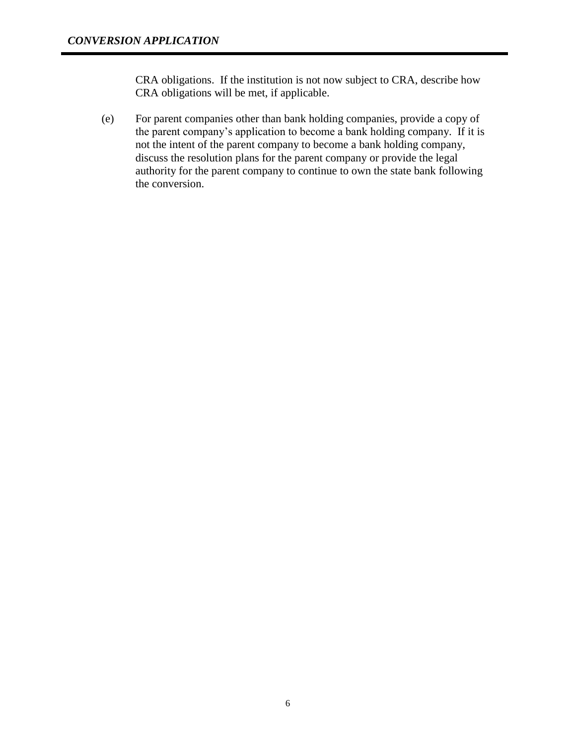CRA obligations. If the institution is not now subject to CRA, describe how CRA obligations will be met, if applicable.

(e) For parent companies other than bank holding companies, provide a copy of the parent company's application to become a bank holding company. If it is not the intent of the parent company to become a bank holding company, discuss the resolution plans for the parent company or provide the legal authority for the parent company to continue to own the state bank following the conversion.